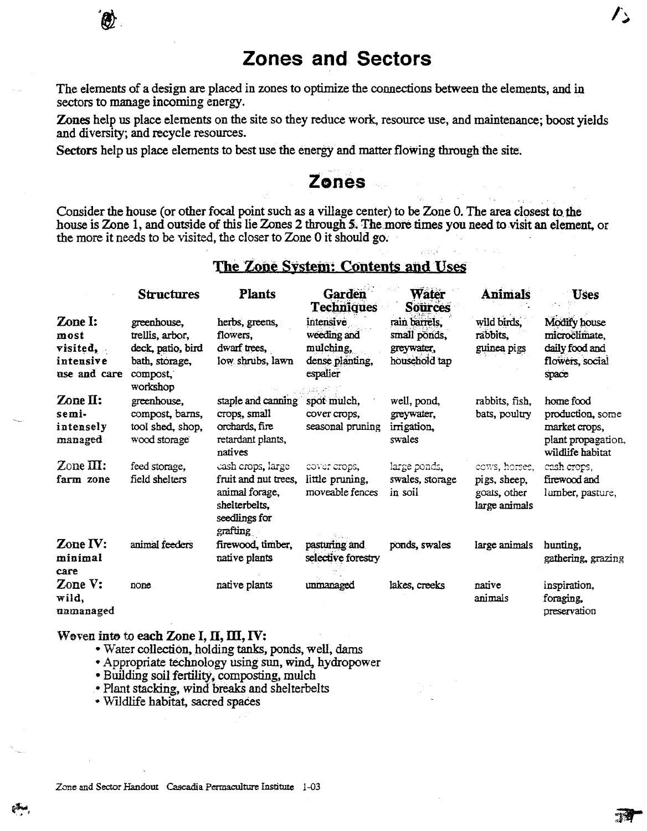# **Zones and Sectors**

The elements of a design are placed in zones to optimize the connections between the elements, and in sectors to manage incoming energy.

Zones help us place elements on the site so they reduce work, resource use, and maintenance; boost yields and diversity; and recycle resources.

Sectors help us place elements to best use the energy and matter flowing through the site.

## **Zones**

Consider the house (or other focal point such as a village center) to be Zone 0. The area closest to the house is Zone 1, and outside of this lie Zones 2 through 5. The more times you need to visit an element, or the more it needs to be visited, the closer to Zone 0 it should go.

### The Zone System: Contents and Uses

|                                                          | <b>Structures</b>                                                                             | <b>Plants</b>                                                                                             | Garden<br><b>Techniques</b>                                          | Water<br><b>Sources</b>                                      | <b>Animals</b>                                                 | <b>Uses</b>                                                                              |
|----------------------------------------------------------|-----------------------------------------------------------------------------------------------|-----------------------------------------------------------------------------------------------------------|----------------------------------------------------------------------|--------------------------------------------------------------|----------------------------------------------------------------|------------------------------------------------------------------------------------------|
| Zone I:<br>most<br>visited,<br>intensive<br>use and care | greenhouse,<br>trellis, arbor,<br>deck, patio, bird<br>bath, storage,<br>compost,<br>workshop | herbs, greens,<br>flowers.<br>dwarf trees,<br>low shrubs, lawn                                            | intensive<br>weeding and<br>mulching,<br>dense planting,<br>espalier | rain barrels.<br>small ponds,<br>greywater,<br>household tap | wild birds,<br>rabbits,<br>guinea pigs                         | <b>Modify</b> house<br>microclimate,<br>daily food and<br>flowers, social<br>space       |
| $\mathbb{Z}$ one II:<br>semi-<br>intensely<br>managed    | greenhouse,<br>compost, barns,<br>tool shed, shop,<br>wood storage                            | staple and canning<br>crops, small<br>orchards, fire<br>retardant plants,<br>natives                      | spot mulch,<br>cover crops.<br>seasonal pruning                      | well, pond,<br>grevwater.<br>irrigation,<br>swales           | rabbits, fish,<br>bats, poultry                                | home food<br>production, some<br>market crops,<br>plant propagation,<br>wildlife habitat |
| $\mathbb{Z}$ one III:<br>farm zone                       | feed storage,<br>field shelters                                                               | cash crops, large<br>fruit and nut trees.<br>animal forage,<br>shelterbelts,<br>seedlings for<br>grafting | cover crops,<br>little pruning,<br>moveable fences                   | large ponds,<br>swales, storage<br>in soil                   | cows, horses,<br>pigs, sheep,<br>goats, other<br>large animals | cash crops,<br>firewood and<br>lumber, pasture,                                          |
| Zone IV:<br>minimal<br>care                              | animal feeders                                                                                | firewood, timber,<br>native plants                                                                        | pasturing and<br>selective forestry                                  | ponds, swales                                                | large animals                                                  | hunting.<br>gathering, grazing                                                           |
| Zone V:<br>wild,<br>unmanaged                            | none                                                                                          | native plants                                                                                             | unmanaged                                                            | lakes, creeks                                                | native<br>animals                                              | inspiration,<br>foraging,<br>preservation                                                |

#### Weven inte to each Zone I, II, III, IV:

- Water collection, holding tanks, ponds, well, darns
- Appropriate technology using sun, wind, hydropower
- Building soil fertility, composting, mulch
- .• Plant stacking, wind breaks and shelterbelts
- Wildlife habitat, sacred spaces

 $\mathcal{L}_{\bm{\omega}}$